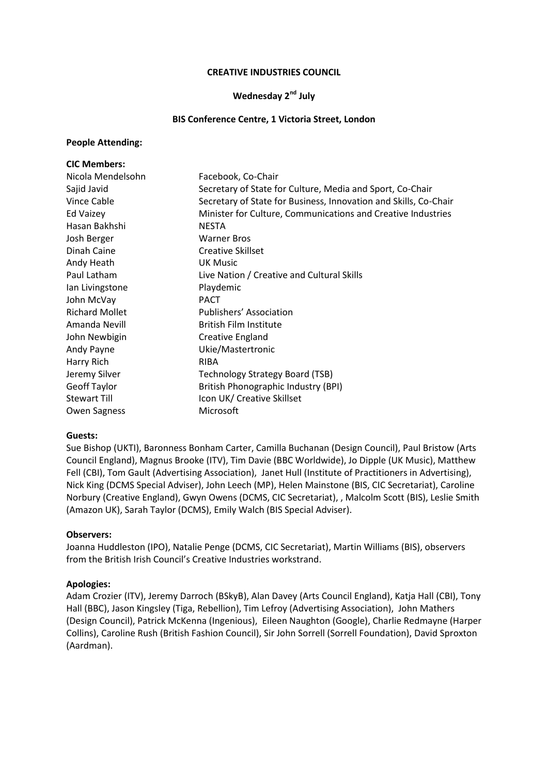#### **CREATIVE INDUSTRIES COUNCIL**

### **Wednesday 2nd July**

#### **BIS Conference Centre, 1 Victoria Street, London**

#### **People Attending:**

| <b>CIC Members:</b>   |                                                                  |
|-----------------------|------------------------------------------------------------------|
| Nicola Mendelsohn     | Facebook, Co-Chair                                               |
| Sajid Javid           | Secretary of State for Culture, Media and Sport, Co-Chair        |
| Vince Cable           | Secretary of State for Business, Innovation and Skills, Co-Chair |
| Ed Vaizey             | Minister for Culture, Communications and Creative Industries     |
| Hasan Bakhshi         | <b>NESTA</b>                                                     |
| Josh Berger           | <b>Warner Bros</b>                                               |
| Dinah Caine           | <b>Creative Skillset</b>                                         |
| Andy Heath            | <b>UK Music</b>                                                  |
| Paul Latham           | Live Nation / Creative and Cultural Skills                       |
| lan Livingstone       | Playdemic                                                        |
| John McVay            | <b>PACT</b>                                                      |
| <b>Richard Mollet</b> | Publishers' Association                                          |
| Amanda Nevill         | <b>British Film Institute</b>                                    |
| John Newbigin         | Creative England                                                 |
| Andy Payne            | Ukie/Mastertronic                                                |
| Harry Rich            | <b>RIBA</b>                                                      |
| Jeremy Silver         | Technology Strategy Board (TSB)                                  |
| <b>Geoff Taylor</b>   | British Phonographic Industry (BPI)                              |
| <b>Stewart Till</b>   | Icon UK/ Creative Skillset                                       |
| <b>Owen Sagness</b>   | Microsoft                                                        |

### **Guests:**

Sue Bishop (UKTI), Baronness Bonham Carter, Camilla Buchanan (Design Council), Paul Bristow (Arts Council England), Magnus Brooke (ITV), Tim Davie (BBC Worldwide), Jo Dipple (UK Music), Matthew Fell (CBI), Tom Gault (Advertising Association), Janet Hull (Institute of Practitioners in Advertising), Nick King (DCMS Special Adviser), John Leech (MP), Helen Mainstone (BIS, CIC Secretariat), Caroline Norbury (Creative England), Gwyn Owens (DCMS, CIC Secretariat), , Malcolm Scott (BIS), Leslie Smith (Amazon UK), Sarah Taylor (DCMS), Emily Walch (BIS Special Adviser).

### **Observers:**

Joanna Huddleston (IPO), Natalie Penge (DCMS, CIC Secretariat), Martin Williams (BIS), observers from the British Irish Council's Creative Industries workstrand.

### **Apologies:**

Adam Crozier (ITV), Jeremy Darroch (BSkyB), Alan Davey (Arts Council England), Katja Hall (CBI), Tony Hall (BBC), Jason Kingsley (Tiga, Rebellion), Tim Lefroy (Advertising Association), John Mathers (Design Council), Patrick McKenna (Ingenious), Eileen Naughton (Google), Charlie Redmayne (Harper Collins), Caroline Rush (British Fashion Council), Sir John Sorrell (Sorrell Foundation), David Sproxton (Aardman).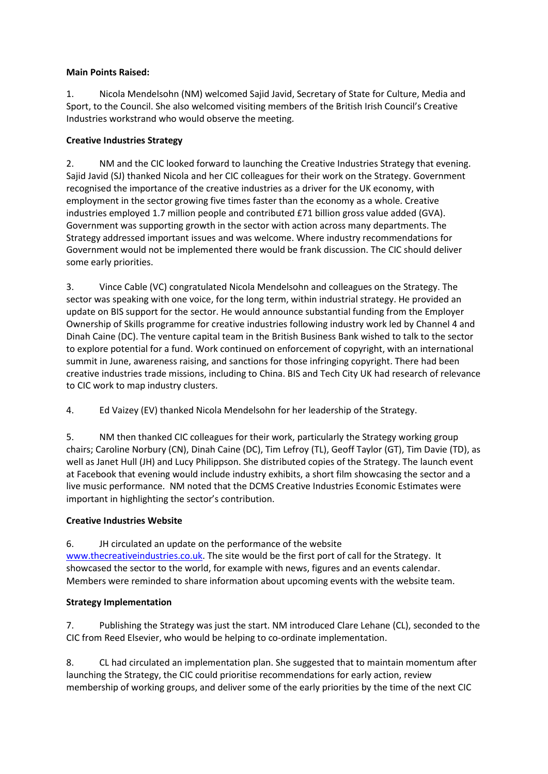### **Main Points Raised:**

1. Nicola Mendelsohn (NM) welcomed Sajid Javid, Secretary of State for Culture, Media and Sport, to the Council. She also welcomed visiting members of the British Irish Council's Creative Industries workstrand who would observe the meeting.

# **Creative Industries Strategy**

2. NM and the CIC looked forward to launching the Creative Industries Strategy that evening. Sajid Javid (SJ) thanked Nicola and her CIC colleagues for their work on the Strategy. Government recognised the importance of the creative industries as a driver for the UK economy, with employment in the sector growing five times faster than the economy as a whole. Creative industries employed 1.7 million people and contributed £71 billion gross value added (GVA). Government was supporting growth in the sector with action across many departments. The Strategy addressed important issues and was welcome. Where industry recommendations for Government would not be implemented there would be frank discussion. The CIC should deliver some early priorities.

3. Vince Cable (VC) congratulated Nicola Mendelsohn and colleagues on the Strategy. The sector was speaking with one voice, for the long term, within industrial strategy. He provided an update on BIS support for the sector. He would announce substantial funding from the Employer Ownership of Skills programme for creative industries following industry work led by Channel 4 and Dinah Caine (DC). The venture capital team in the British Business Bank wished to talk to the sector to explore potential for a fund. Work continued on enforcement of copyright, with an international summit in June, awareness raising, and sanctions for those infringing copyright. There had been creative industries trade missions, including to China. BIS and Tech City UK had research of relevance to CIC work to map industry clusters.

4. Ed Vaizey (EV) thanked Nicola Mendelsohn for her leadership of the Strategy.

5. NM then thanked CIC colleagues for their work, particularly the Strategy working group chairs; Caroline Norbury (CN), Dinah Caine (DC), Tim Lefroy (TL), Geoff Taylor (GT), Tim Davie (TD), as well as Janet Hull (JH) and Lucy Philippson. She distributed copies of the Strategy. The launch event at Facebook that evening would include industry exhibits, a short film showcasing the sector and a live music performance. NM noted that the DCMS Creative Industries Economic Estimates were important in highlighting the sector's contribution.

# **Creative Industries Website**

6. JH circulated an update on the performance of the website [www.thecreativeindustries.co.uk.](http://www.thecreativeindustries.co.uk/) The site would be the first port of call for the Strategy. It showcased the sector to the world, for example with news, figures and an events calendar. Members were reminded to share information about upcoming events with the website team.

# **Strategy Implementation**

7. Publishing the Strategy was just the start. NM introduced Clare Lehane (CL), seconded to the CIC from Reed Elsevier, who would be helping to co-ordinate implementation.

8. CL had circulated an implementation plan. She suggested that to maintain momentum after launching the Strategy, the CIC could prioritise recommendations for early action, review membership of working groups, and deliver some of the early priorities by the time of the next CIC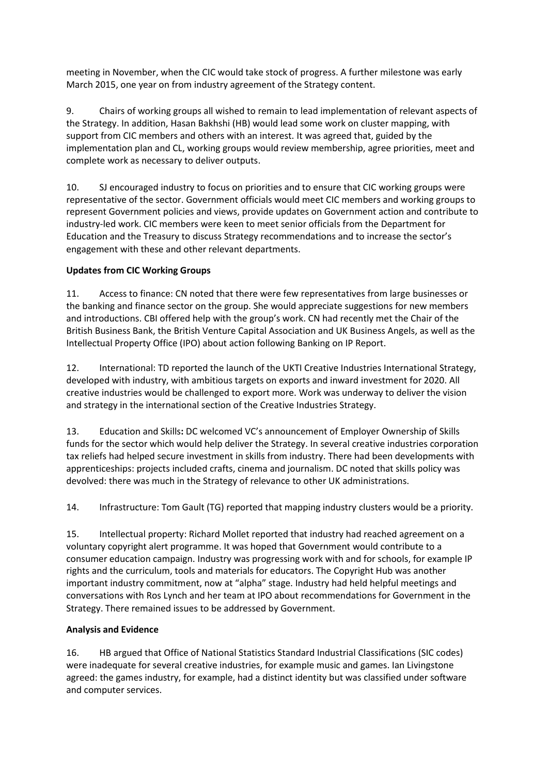meeting in November, when the CIC would take stock of progress. A further milestone was early March 2015, one year on from industry agreement of the Strategy content.

9. Chairs of working groups all wished to remain to lead implementation of relevant aspects of the Strategy. In addition, Hasan Bakhshi (HB) would lead some work on cluster mapping, with support from CIC members and others with an interest. It was agreed that, guided by the implementation plan and CL, working groups would review membership, agree priorities, meet and complete work as necessary to deliver outputs.

10. SJ encouraged industry to focus on priorities and to ensure that CIC working groups were representative of the sector. Government officials would meet CIC members and working groups to represent Government policies and views, provide updates on Government action and contribute to industry-led work. CIC members were keen to meet senior officials from the Department for Education and the Treasury to discuss Strategy recommendations and to increase the sector's engagement with these and other relevant departments.

# **Updates from CIC Working Groups**

11. Access to finance: CN noted that there were few representatives from large businesses or the banking and finance sector on the group. She would appreciate suggestions for new members and introductions. CBI offered help with the group's work. CN had recently met the Chair of the British Business Bank, the British Venture Capital Association and UK Business Angels, as well as the Intellectual Property Office (IPO) about action following Banking on IP Report.

12. International: TD reported the launch of the UKTI Creative Industries International Strategy, developed with industry, with ambitious targets on exports and inward investment for 2020. All creative industries would be challenged to export more. Work was underway to deliver the vision and strategy in the international section of the Creative Industries Strategy.

13. Education and Skills**:** DC welcomed VC's announcement of Employer Ownership of Skills funds for the sector which would help deliver the Strategy. In several creative industries corporation tax reliefs had helped secure investment in skills from industry. There had been developments with apprenticeships: projects included crafts, cinema and journalism. DC noted that skills policy was devolved: there was much in the Strategy of relevance to other UK administrations.

14. Infrastructure: Tom Gault (TG) reported that mapping industry clusters would be a priority.

15. Intellectual property: Richard Mollet reported that industry had reached agreement on a voluntary copyright alert programme. It was hoped that Government would contribute to a consumer education campaign. Industry was progressing work with and for schools, for example IP rights and the curriculum, tools and materials for educators. The Copyright Hub was another important industry commitment, now at "alpha" stage. Industry had held helpful meetings and conversations with Ros Lynch and her team at IPO about recommendations for Government in the Strategy. There remained issues to be addressed by Government.

### **Analysis and Evidence**

16. HB argued that Office of National Statistics Standard Industrial Classifications (SIC codes) were inadequate for several creative industries, for example music and games. Ian Livingstone agreed: the games industry, for example, had a distinct identity but was classified under software and computer services.